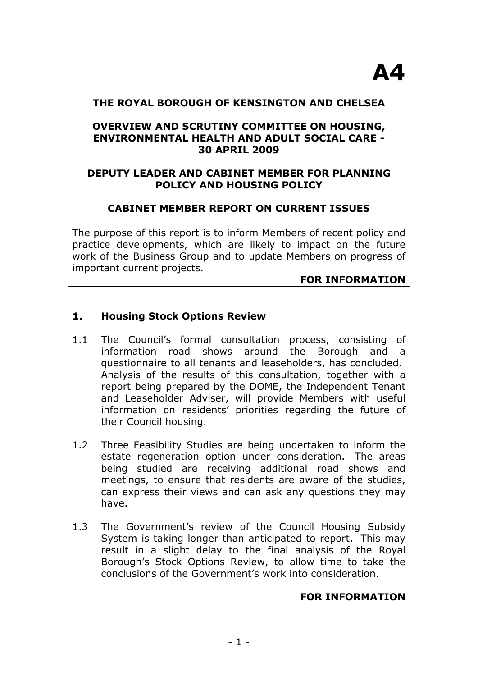## **THE ROYAL BOROUGH OF KENSINGTON AND CHELSEA**

# **OVERVIEW AND SCRUTINY COMMITTEE ON HOUSING, ENVIRONMENTAL HEALTH AND ADULT SOCIAL CARE - 30 APRIL 2009**

# **DEPUTY LEADER AND CABINET MEMBER FOR PLANNING POLICY AND HOUSING POLICY**

# **CABINET MEMBER REPORT ON CURRENT ISSUES**

The purpose of this report is to inform Members of recent policy and practice developments, which are likely to impact on the future work of the Business Group and to update Members on progress of important current projects.

#### **FOR INFORMATION**

## **1. Housing Stock Options Review**

- 1.1 The Council's formal consultation process, consisting of information road shows around the Borough and a questionnaire to all tenants and leaseholders, has concluded. Analysis of the results of this consultation, together with a report being prepared by the DOME, the Independent Tenant and Leaseholder Adviser, will provide Members with useful information on residents' priorities regarding the future of their Council housing.
- 1.2 Three Feasibility Studies are being undertaken to inform the estate regeneration option under consideration. The areas being studied are receiving additional road shows and meetings, to ensure that residents are aware of the studies, can express their views and can ask any questions they may have.
- 1.3 The Government's review of the Council Housing Subsidy System is taking longer than anticipated to report. This may result in a slight delay to the final analysis of the Royal Borough's Stock Options Review, to allow time to take the conclusions of the Government's work into consideration.

## **FOR INFORMATION**